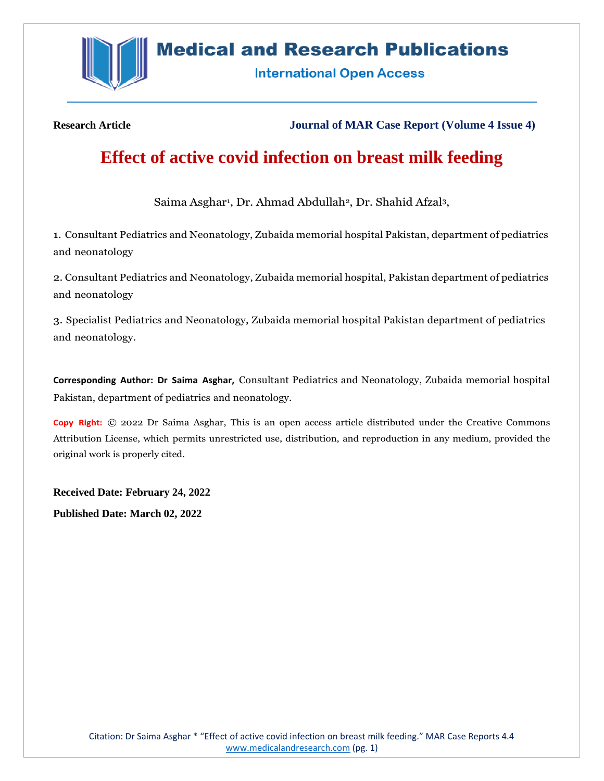

# **Medical and Research Publications**

**International Open Access** 

**Research Article Journal of MAR Case Report (Volume 4 Issue 4)**

# **Effect of active covid infection on breast milk feeding**

Saima Asghar<sup>1</sup>, Dr. Ahmad Abdullah<sup>2</sup>, Dr. Shahid Afzal<sup>3</sup>,

1. Consultant Pediatrics and Neonatology, Zubaida memorial hospital Pakistan, department of pediatrics and neonatology

2. Consultant Pediatrics and Neonatology, Zubaida memorial hospital, Pakistan department of pediatrics and neonatology

3. Specialist Pediatrics and Neonatology, Zubaida memorial hospital Pakistan department of pediatrics and neonatology.

**Corresponding Author: Dr Saima Asghar,** Consultant Pediatrics and Neonatology, Zubaida memorial hospital Pakistan, department of pediatrics and neonatology.

**Copy Right:** © 2022 Dr Saima Asghar, This is an open access article distributed under the Creative Commons Attribution License, which permits unrestricted use, distribution, and reproduction in any medium, provided the original work is properly cited.

**Received Date: February 24, 2022**

**Published Date: March 02, 2022**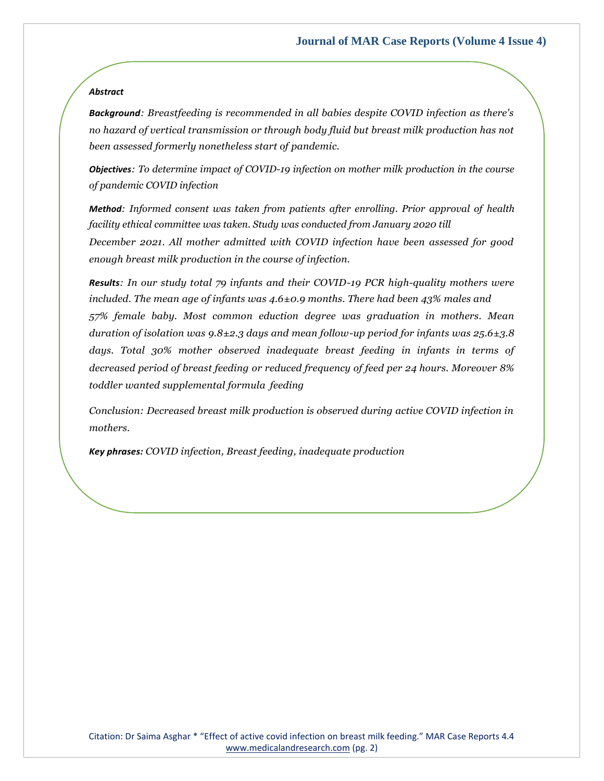## *Abstract*

*Background: Breastfeeding is recommended in all babies despite COVID infection as there's no hazard of vertical transmission or through body fluid but breast milk production has not been assessed formerly nonetheless start of pandemic.*

*Objectives: To determine impact of COVID-19 infection on mother milk production in the course of pandemic COVID infection*

*Method: Informed consent was taken from patients after enrolling. Prior approval of health facility ethical committee was taken. Study was conducted from January 2020 till December 2021. All mother admitted with COVID infection have been assessed for good enough breast milk production in the course of infection.*

*Results: In our study total 79 infants and their COVID-19 PCR high-quality mothers were included. The mean age of infants was 4.6±0.9 months. There had been 43% males and 57% female baby. Most common eduction degree was graduation in mothers. Mean duration of isolation was 9.8±2.3 days and mean follow-up period for infants was 25.6±3.8 days. Total 30% mother observed inadequate breast feeding in infants in terms of decreased period of breast feeding or reduced frequency of feed per 24 hours. Moreover 8% toddler wanted supplemental formula feeding*

*Conclusion: Decreased breast milk production is observed during active COVID infection in mothers.*

*Key phrases: COVID infection, Breast feeding, inadequate production*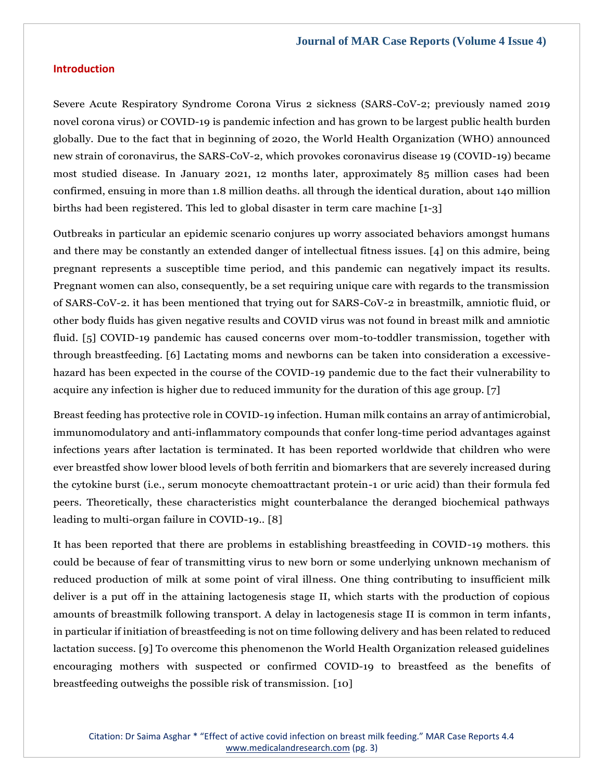# **Introduction**

Severe Acute Respiratory Syndrome Corona Virus 2 sickness (SARS-CoV-2; previously named 2019 novel corona virus) or COVID-19 is pandemic infection and has grown to be largest public health burden globally. Due to the fact that in beginning of 2020, the World Health Organization (WHO) announced new strain of coronavirus, the SARS-CoV-2, which provokes coronavirus disease 19 (COVID-19) became most studied disease. In January 2021, 12 months later, approximately 85 million cases had been confirmed, ensuing in more than 1.8 million deaths. all through the identical duration, about 140 million births had been registered. This led to global disaster in term care machine [1-3]

Outbreaks in particular an epidemic scenario conjures up worry associated behaviors amongst humans and there may be constantly an extended danger of intellectual fitness issues. [4] on this admire, being pregnant represents a susceptible time period, and this pandemic can negatively impact its results. Pregnant women can also, consequently, be a set requiring unique care with regards to the transmission of SARS-CoV-2. it has been mentioned that trying out for SARS-CoV-2 in breastmilk, amniotic fluid, or other body fluids has given negative results and COVID virus was not found in breast milk and amniotic fluid. [5] COVID-19 pandemic has caused concerns over mom-to-toddler transmission, together with through breastfeeding. [6] Lactating moms and newborns can be taken into consideration a excessivehazard has been expected in the course of the COVID-19 pandemic due to the fact their vulnerability to acquire any infection is higher due to reduced immunity for the duration of this age group. [7]

Breast feeding has protective role in COVID-19 infection. Human milk contains an array of antimicrobial, immunomodulatory and anti-inflammatory compounds that confer long-time period advantages against infections years after lactation is terminated. It has been reported worldwide that children who were ever breastfed show lower blood levels of both ferritin and biomarkers that are severely increased during the cytokine burst (i.e., serum monocyte chemoattractant protein-1 or uric acid) than their formula fed peers. Theoretically, these characteristics might counterbalance the deranged biochemical pathways leading to multi-organ failure in COVID-19.. [8]

It has been reported that there are problems in establishing breastfeeding in COVID-19 mothers. this could be because of fear of transmitting virus to new born or some underlying unknown mechanism of reduced production of milk at some point of viral illness. One thing contributing to insufficient milk deliver is a put off in the attaining lactogenesis stage II, which starts with the production of copious amounts of breastmilk following transport. A delay in lactogenesis stage II is common in term infants, in particular if initiation of breastfeeding is not on time following delivery and has been related to reduced lactation success. [9] To overcome this phenomenon the World Health Organization released guidelines encouraging mothers with suspected or confirmed COVID-19 to breastfeed as the benefits of breastfeeding outweighs the possible risk of transmission. [10]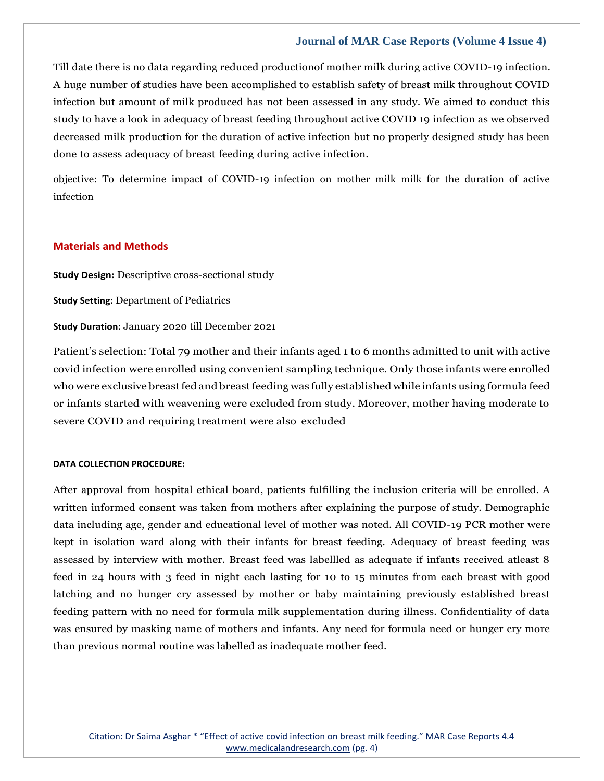Till date there is no data regarding reduced productionof mother milk during active COVID-19 infection. A huge number of studies have been accomplished to establish safety of breast milk throughout COVID infection but amount of milk produced has not been assessed in any study. We aimed to conduct this study to have a look in adequacy of breast feeding throughout active COVID 19 infection as we observed decreased milk production for the duration of active infection but no properly designed study has been done to assess adequacy of breast feeding during active infection.

objective: To determine impact of COVID-19 infection on mother milk milk for the duration of active infection

## **Materials and Methods**

**Study Design:** Descriptive cross-sectional study

**Study Setting:** Department of Pediatrics

**Study Duration:** January 2020 till December 2021

Patient's selection: Total 79 mother and their infants aged 1 to 6 months admitted to unit with active covid infection were enrolled using convenient sampling technique. Only those infants were enrolled who were exclusive breast fed and breast feeding was fully established while infants using formula feed or infants started with weavening were excluded from study. Moreover, mother having moderate to severe COVID and requiring treatment were also excluded

#### **DATA COLLECTION PROCEDURE:**

After approval from hospital ethical board, patients fulfilling the inclusion criteria will be enrolled. A written informed consent was taken from mothers after explaining the purpose of study. Demographic data including age, gender and educational level of mother was noted. All COVID-19 PCR mother were kept in isolation ward along with their infants for breast feeding. Adequacy of breast feeding was assessed by interview with mother. Breast feed was labellled as adequate if infants received atleast 8 feed in 24 hours with 3 feed in night each lasting for 10 to 15 minutes from each breast with good latching and no hunger cry assessed by mother or baby maintaining previously established breast feeding pattern with no need for formula milk supplementation during illness. Confidentiality of data was ensured by masking name of mothers and infants. Any need for formula need or hunger cry more than previous normal routine was labelled as inadequate mother feed.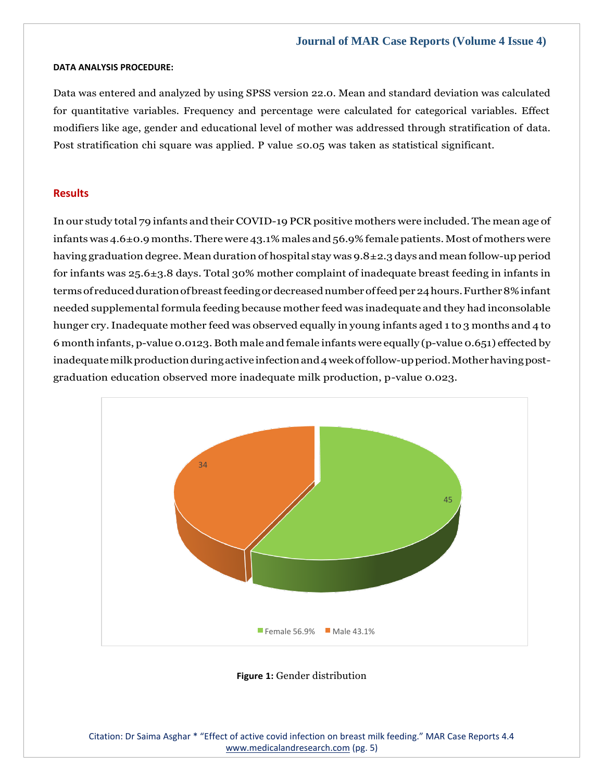#### **DATA ANALYSIS PROCEDURE:**

Data was entered and analyzed by using SPSS version 22.0. Mean and standard deviation was calculated for quantitative variables. Frequency and percentage were calculated for categorical variables. Effect modifiers like age, gender and educational level of mother was addressed through stratification of data. Post stratification chi square was applied. P value  $\leq 0.05$  was taken as statistical significant.

#### **Results**

In our study total 79 infants and their COVID-19 PCR positive mothers were included. The mean age of infants was  $4.6\pm0.9$  months. There were  $43.1\%$  males and  $56.9\%$  female patients. Most of mothers were having graduation degree. Mean duration of hospital stay was 9.8±2.3 days and mean follow-up period for infants was 25.6±3.8 days. Total 30% mother complaint of inadequate breast feeding in infants in terms of reduced duration of breast feeding or decreased number of feed per 24 hours. Further 8% infant needed supplemental formula feeding because mother feed was inadequate and they had inconsolable hunger cry.Inadequate mother feed was observed equally in young infants aged 1 to 3 months and 4 to 6 month infants, p-value 0.0123. Both male and female infants were equally (p-value 0.651) effected by inadequate milk production during active infection and 4 week of follow-up period. Mother having postgraduation education observed more inadequate milk production, p-value 0.023.



#### **Figure 1:** Gender distribution

Citation: Dr Saima Asghar \* "Effect of active covid infection on breast milk feeding." MAR Case Reports 4.4 [www.medicalandresearch.com](http://www.medicalandresearch.com/) (pg. 5)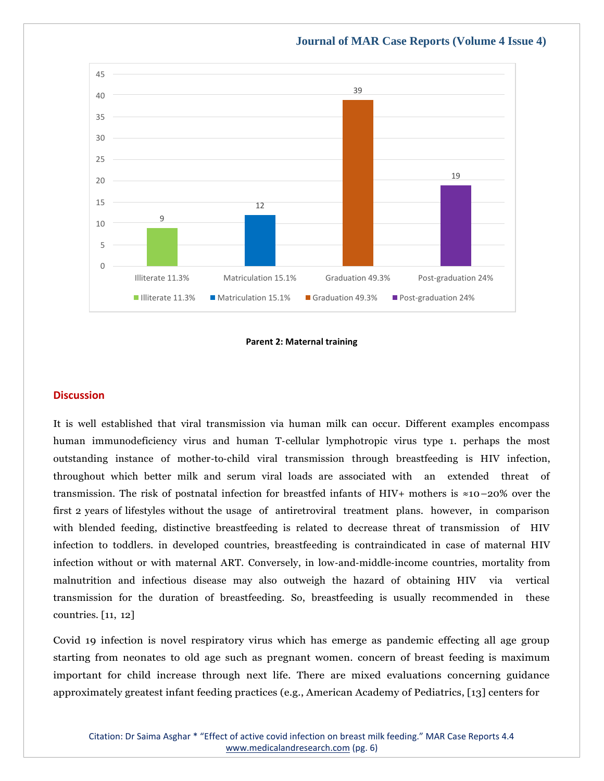

#### **Parent 2: Maternal training**

### **Discussion**

It is well established that viral transmission via human milk can occur. Different examples encompass human immunodeficiency virus and human T-cellular lymphotropic virus type 1. perhaps the most outstanding instance of mother‐to‐child viral transmission through breastfeeding is HIV infection, throughout which better milk and serum viral loads are associated with an extended threat of transmission. The risk of postnatal infection for breastfed infants of HIV+ mothers is ≈10–20% over the first 2 years of lifestyles without the usage of antiretroviral treatment plans. however, in comparison with blended feeding, distinctive breastfeeding is related to decrease threat of transmission of HIV infection to toddlers. in developed countries, breastfeeding is contraindicated in case of maternal HIV infection without or with maternal ART. Conversely, in low‐and‐middle‐income countries, mortality from malnutrition and infectious disease may also outweigh the hazard of obtaining HIV via vertical transmission for the duration of breastfeeding. So, breastfeeding is usually recommended in these countries. [11, 12]

Covid 19 infection is novel respiratory virus which has emerge as pandemic effecting all age group starting from neonates to old age such as pregnant women. concern of breast feeding is maximum important for child increase through next life. There are mixed evaluations concerning guidance approximately greatest infant feeding practices (e.g., American Academy of Pediatrics, [13] centers for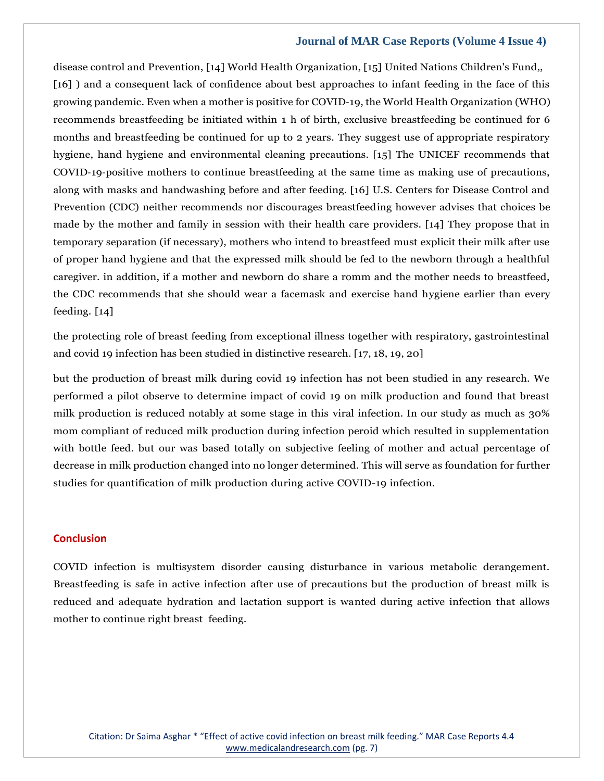disease control and Prevention, [14] World Health Organization, [15] United Nations Children's Fund,, [16] ) and a consequent lack of confidence about best approaches to infant feeding in the face of this growing pandemic. Even when a mother is positive for COVID‐19, the World Health Organization (WHO) recommends breastfeeding be initiated within 1 h of birth, exclusive breastfeeding be continued for 6 months and breastfeeding be continued for up to 2 years. They suggest use of appropriate respiratory hygiene, hand hygiene and environmental cleaning precautions. [15] The UNICEF recommends that COVID‐19‐positive mothers to continue breastfeeding at the same time as making use of precautions, along with masks and handwashing before and after feeding. [16] U.S. Centers for Disease Control and Prevention (CDC) neither recommends nor discourages breastfeeding however advises that choices be made by the mother and family in session with their health care providers. [14] They propose that in temporary separation (if necessary), mothers who intend to breastfeed must explicit their milk after use of proper hand hygiene and that the expressed milk should be fed to the newborn through a healthful caregiver. in addition, if a mother and newborn do share a romm and the mother needs to breastfeed, the CDC recommends that she should wear a facemask and exercise hand hygiene earlier than every feeding. [14]

the protecting role of breast feeding from exceptional illness together with respiratory, gastrointestinal and covid 19 infection has been studied in distinctive research. [17, 18, 19, 20]

but the production of breast milk during covid 19 infection has not been studied in any research. We performed a pilot observe to determine impact of covid 19 on milk production and found that breast milk production is reduced notably at some stage in this viral infection. In our study as much as 30% mom compliant of reduced milk production during infection peroid which resulted in supplementation with bottle feed. but our was based totally on subjective feeling of mother and actual percentage of decrease in milk production changed into no longer determined. This will serve as foundation for further studies for quantification of milk production during active COVID-19 infection.

### **Conclusion**

COVID infection is multisystem disorder causing disturbance in various metabolic derangement. Breastfeeding is safe in active infection after use of precautions but the production of breast milk is reduced and adequate hydration and lactation support is wanted during active infection that allows mother to continue right breast feeding.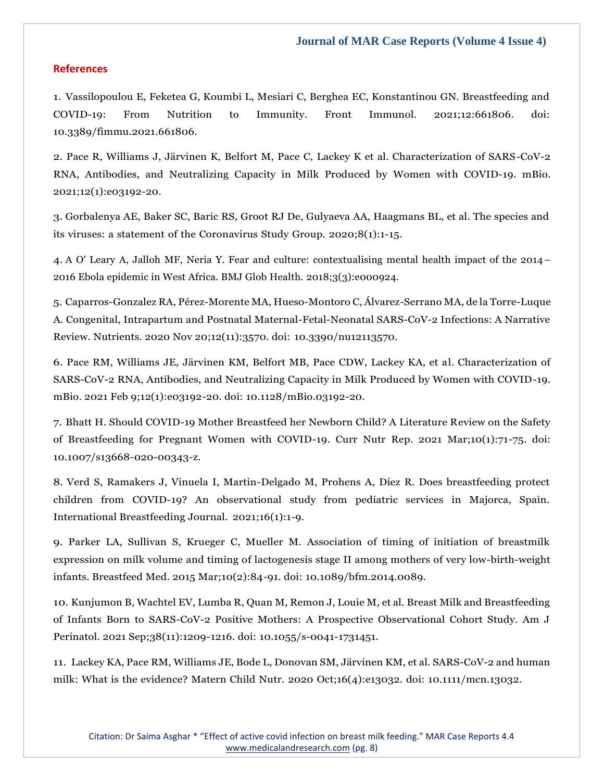#### **References**

1. Vassilopoulou E, Feketea G, Koumbi L, Mesiari C, Berghea EC, Konstantinou GN. Breastfeeding and COVID-19: From Nutrition to Immunity. Front Immunol. 2021;12:661806. doi: 10.3389/fimmu.2021.661806.

2. Pace R, Williams J, Järvinen K, Belfort M, Pace C, Lackey K et al. Characterization of SARS-CoV-2 RNA, Antibodies, and Neutralizing Capacity in Milk Produced by Women with COVID-19. mBio. 2021;12(1):e03192-20.

3. Gorbalenya AE, Baker SC, Baric RS, Groot RJ De, Gulyaeva AA, Haagmans BL, et al. The species and its viruses: a statement of the Coronavirus Study Group. 2020;8(1):1-15.

4. A O' Leary A, Jalloh MF, Neria Y. Fear and culture: contextualising mental health impact of the 2014– 2016 Ebola epidemic in West Africa. BMJ Glob Health. 2018;3(3):e000924.

5. Caparros-Gonzalez RA, Pérez-Morente MA, Hueso-Montoro C, Álvarez-Serrano MA, de la Torre-Luque A. Congenital, Intrapartum and Postnatal Maternal-Fetal-Neonatal SARS-CoV-2 Infections: A Narrative Review. Nutrients. 2020 Nov 20;12(11):3570. doi: 10.3390/nu12113570.

6. Pace RM, Williams JE, Järvinen KM, Belfort MB, Pace CDW, Lackey KA, et al. Characterization of SARS-CoV-2 RNA, Antibodies, and Neutralizing Capacity in Milk Produced by Women with COVID-19. mBio. 2021 Feb 9;12(1):e03192-20. doi: 10.1128/mBio.03192-20.

7. Bhatt H. Should COVID-19 Mother Breastfeed her Newborn Child? A Literature Review on the Safety of Breastfeeding for Pregnant Women with COVID-19. Curr Nutr Rep. 2021 Mar;10(1):71-75. doi: 10.1007/s13668-020-00343-z.

8. Verd S, Ramakers J, Vinuela I, Martin-Delgado M, Prohens A, Díez R. Does breastfeeding protect children from COVID-19? An observational study from pediatric services in Majorca, Spain. International Breastfeeding Journal. 2021;16(1):1-9.

9. Parker LA, Sullivan S, Krueger C, Mueller M. Association of timing of initiation of breastmilk expression on milk volume and timing of lactogenesis stage II among mothers of very low-birth-weight infants. Breastfeed Med. 2015 Mar;10(2):84-91. doi: 10.1089/bfm.2014.0089.

10. Kunjumon B, Wachtel EV, Lumba R, Quan M, Remon J, Louie M, et al. Breast Milk and Breastfeeding of Infants Born to SARS-CoV-2 Positive Mothers: A Prospective Observational Cohort Study. Am J Perinatol. 2021 Sep;38(11):1209-1216. doi: 10.1055/s-0041-1731451.

11. Lackey KA, Pace RM, Williams JE, Bode L, Donovan SM, Järvinen KM, et al. SARS-CoV-2 and human milk: What is the evidence? Matern Child Nutr. 2020 Oct;16(4):e13032. doi: 10.1111/mcn.13032.